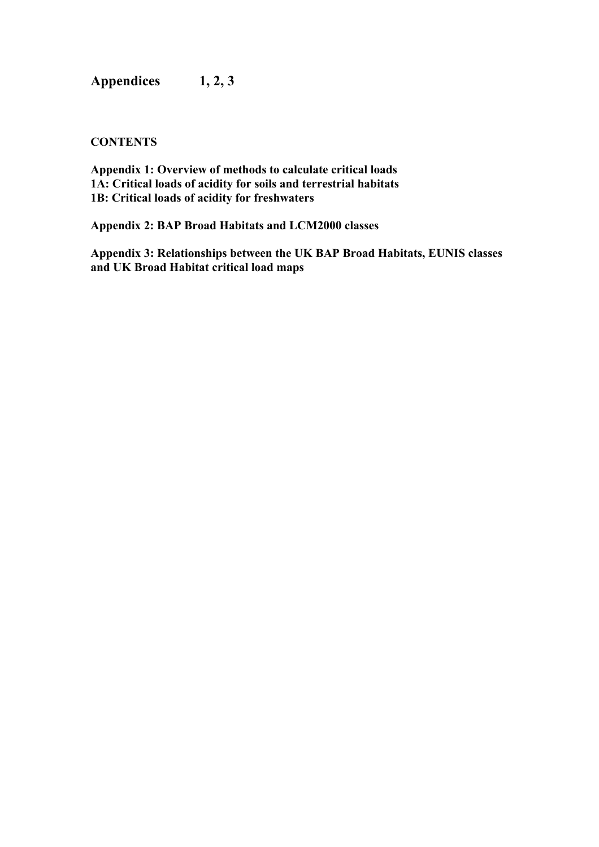**Appendices 1, 2, 3** 

# **CONTENTS**

**Appendix 1: Overview of methods to calculate critical loads 1A: Critical loads of acidity for soils and terrestrial habitats 1B: Critical loads of acidity for freshwaters** 

**Appendix 2: BAP Broad Habitats and LCM2000 classes** 

**Appendix 3: Relationships between the UK BAP Broad Habitats, EUNIS classes and UK Broad Habitat critical load maps**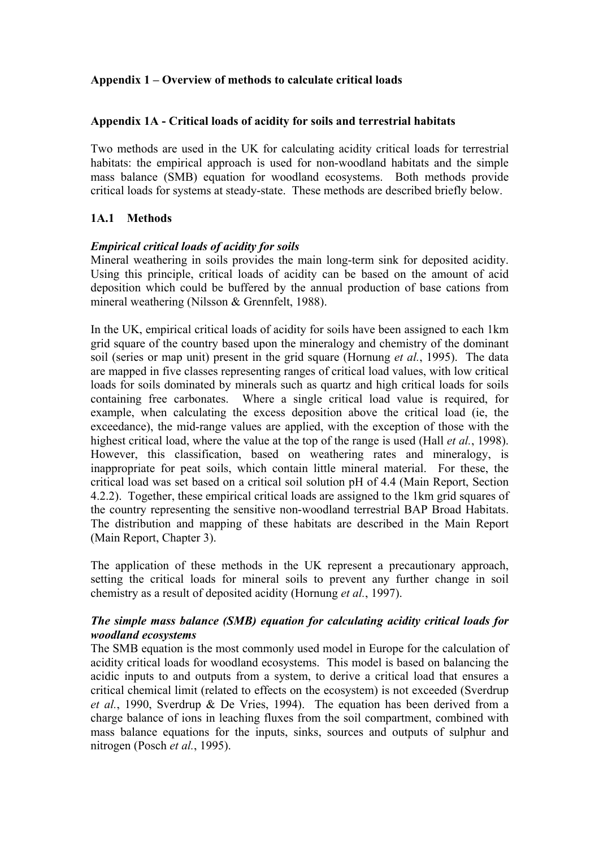# **Appendix 1 – Overview of methods to calculate critical loads**

### **Appendix 1A - Critical loads of acidity for soils and terrestrial habitats**

Two methods are used in the UK for calculating acidity critical loads for terrestrial habitats: the empirical approach is used for non-woodland habitats and the simple mass balance (SMB) equation for woodland ecosystems. Both methods provide critical loads for systems at steady-state. These methods are described briefly below.

# **1A.1 Methods**

#### *Empirical critical loads of acidity for soils*

Mineral weathering in soils provides the main long-term sink for deposited acidity. Using this principle, critical loads of acidity can be based on the amount of acid deposition which could be buffered by the annual production of base cations from mineral weathering (Nilsson & Grennfelt, 1988).

In the UK, empirical critical loads of acidity for soils have been assigned to each 1km grid square of the country based upon the mineralogy and chemistry of the dominant soil (series or map unit) present in the grid square (Hornung *et al.*, 1995). The data are mapped in five classes representing ranges of critical load values, with low critical loads for soils dominated by minerals such as quartz and high critical loads for soils containing free carbonates. Where a single critical load value is required, for example, when calculating the excess deposition above the critical load (ie, the exceedance), the mid-range values are applied, with the exception of those with the highest critical load, where the value at the top of the range is used (Hall *et al.*, 1998). However, this classification, based on weathering rates and mineralogy, is inappropriate for peat soils, which contain little mineral material. For these, the critical load was set based on a critical soil solution pH of 4.4 (Main Report, Section 4.2.2). Together, these empirical critical loads are assigned to the 1km grid squares of the country representing the sensitive non-woodland terrestrial BAP Broad Habitats. The distribution and mapping of these habitats are described in the Main Report (Main Report, Chapter 3).

The application of these methods in the UK represent a precautionary approach, setting the critical loads for mineral soils to prevent any further change in soil chemistry as a result of deposited acidity (Hornung *et al.*, 1997).

### *The simple mass balance (SMB) equation for calculating acidity critical loads for woodland ecosystems*

The SMB equation is the most commonly used model in Europe for the calculation of acidity critical loads for woodland ecosystems. This model is based on balancing the acidic inputs to and outputs from a system, to derive a critical load that ensures a critical chemical limit (related to effects on the ecosystem) is not exceeded (Sverdrup *et al.*, 1990, Sverdrup & De Vries, 1994). The equation has been derived from a charge balance of ions in leaching fluxes from the soil compartment, combined with mass balance equations for the inputs, sinks, sources and outputs of sulphur and nitrogen (Posch *et al.*, 1995).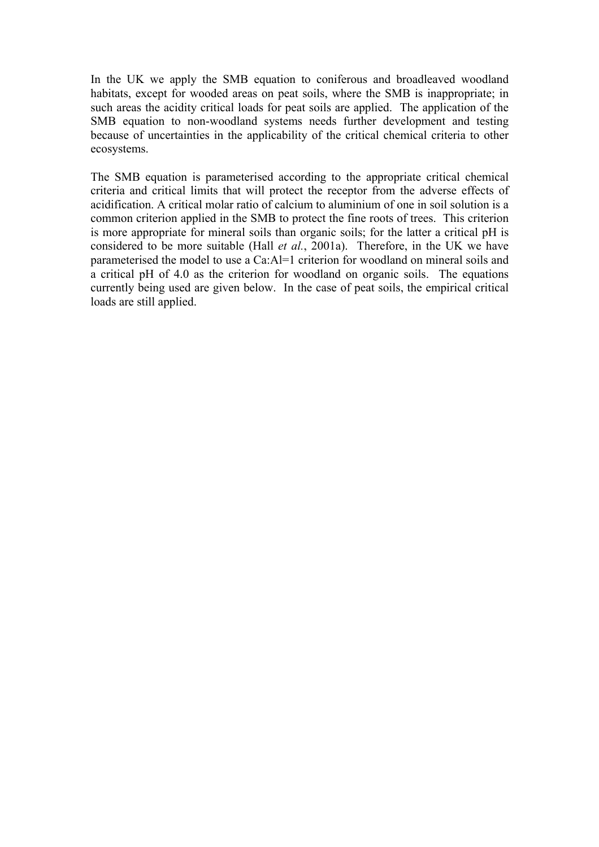In the UK we apply the SMB equation to coniferous and broadleaved woodland habitats, except for wooded areas on peat soils, where the SMB is inappropriate; in such areas the acidity critical loads for peat soils are applied. The application of the SMB equation to non-woodland systems needs further development and testing because of uncertainties in the applicability of the critical chemical criteria to other ecosystems.

The SMB equation is parameterised according to the appropriate critical chemical criteria and critical limits that will protect the receptor from the adverse effects of acidification. A critical molar ratio of calcium to aluminium of one in soil solution is a common criterion applied in the SMB to protect the fine roots of trees. This criterion is more appropriate for mineral soils than organic soils; for the latter a critical pH is considered to be more suitable (Hall *et al.*, 2001a). Therefore, in the UK we have parameterised the model to use a Ca:Al=1 criterion for woodland on mineral soils and a critical pH of 4.0 as the criterion for woodland on organic soils. The equations currently being used are given below. In the case of peat soils, the empirical critical loads are still applied.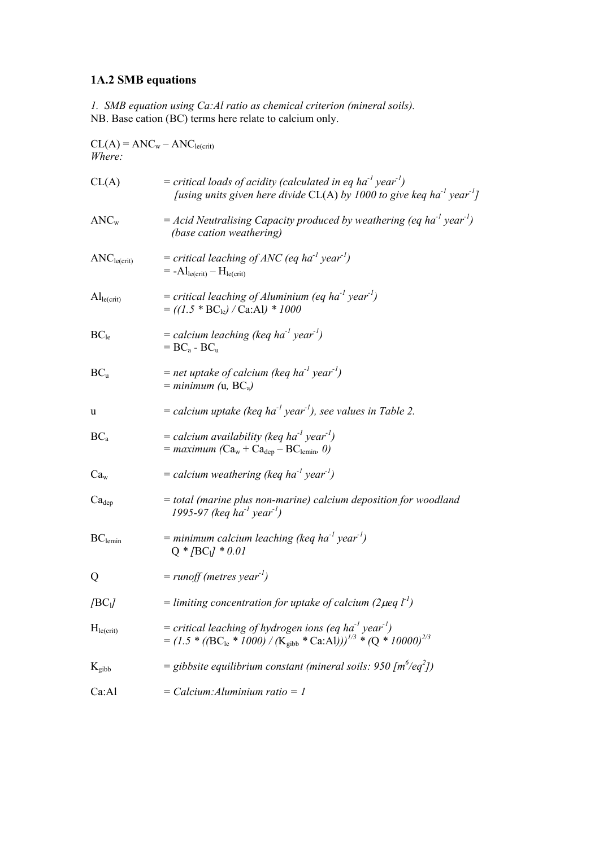# **1A.2 SMB equations**

*1. SMB equation using Ca:Al ratio as chemical criterion (mineral soils).*  NB. Base cation (BC) terms here relate to calcium only.

| $CL(A) = ANCw - ANCle(crit)$<br>Where: |                                                                                                                                                                                       |  |  |
|----------------------------------------|---------------------------------------------------------------------------------------------------------------------------------------------------------------------------------------|--|--|
| CL(A)                                  | = critical loads of acidity (calculated in eq ha <sup>-1</sup> year <sup>-1</sup> )<br>[using units given here divide CL(A) by 1000 to give keq ha <sup>-1</sup> year <sup>-1</sup> ] |  |  |
| $\text{ANC}_{\text{w}}$                | = Acid Neutralising Capacity produced by weathering (eq ha <sup>-1</sup> year <sup>-1</sup> )<br>(base cation weathering)                                                             |  |  |
| ANC <sub>le(crit)</sub>                | = critical leaching of ANC (eq ha <sup>-1</sup> year <sup>-1</sup> )<br>$= -A l_{le(crit)} - H_{le(crit)}$                                                                            |  |  |
| $\mathrm{Al}_{le(crit)}$               | = critical leaching of Aluminium (eq ha <sup>-1</sup> year <sup>-1</sup> )<br>$= ((1.5 * BC_{le}) / Ca:Al) * 1000$                                                                    |  |  |
| $BC_{le}$                              | = calcium leaching (keq ha <sup>-1</sup> year <sup>-1</sup> )<br>$= BC_a - BC_u$                                                                                                      |  |  |
| $BC_u$                                 | = net uptake of calcium (keq ha <sup>-1</sup> year <sup>-1</sup> )<br>$=$ minimum (u, BC <sub>a</sub> )                                                                               |  |  |
| u                                      | = calcium uptake (keq ha <sup>-1</sup> year <sup>-1</sup> ), see values in Table 2.                                                                                                   |  |  |
| $BC_a$                                 | = calcium availability (keq ha <sup>-1</sup> year <sup>-1</sup> )<br>$=$ maximum (Ca <sub>w</sub> + Ca <sub>dep</sub> – BC <sub>lemin</sub> , 0)                                      |  |  |
| Ca <sub>w</sub>                        | = calcium weathering (keq ha <sup>-1</sup> year <sup>-1</sup> )                                                                                                                       |  |  |
| $Ca_{dep}$                             | = total (marine plus non-marine) calcium deposition for woodland<br>1995-97 (keq ha <sup>-1</sup> year <sup>-1</sup> )                                                                |  |  |
| $BC$ <sub>lemin</sub>                  | = minimum calcium leaching (keq ha <sup>-1</sup> year <sup>-1</sup> )<br>$Q * / BC_1 / * 0.01$                                                                                        |  |  |
| Q                                      | $=$ runoff (metres year <sup>-1</sup> )                                                                                                                                               |  |  |
| /BC <sub>1</sub>                       | = limiting concentration for uptake of calcium (2 $\mu$ eq l <sup>-1</sup> )                                                                                                          |  |  |
| H <sub>le(crit)</sub>                  | = critical leaching of hydrogen ions (eq ha <sup>-1</sup> year <sup>-1</sup> )<br>$= (1.5 * (BCle * 1000) / (Kgibb * Ca(A)) )^{1/3} * (Q * 10000)^{2/3}$                              |  |  |
| $K_{\rm gibb}$                         | = gibbsite equilibrium constant (mineral soils: $950 \,[\text{m}^6/\text{eq}^2]$ )                                                                                                    |  |  |
| Ca:Al                                  | $=$ Calcium: Aluminium ratio $=$ 1                                                                                                                                                    |  |  |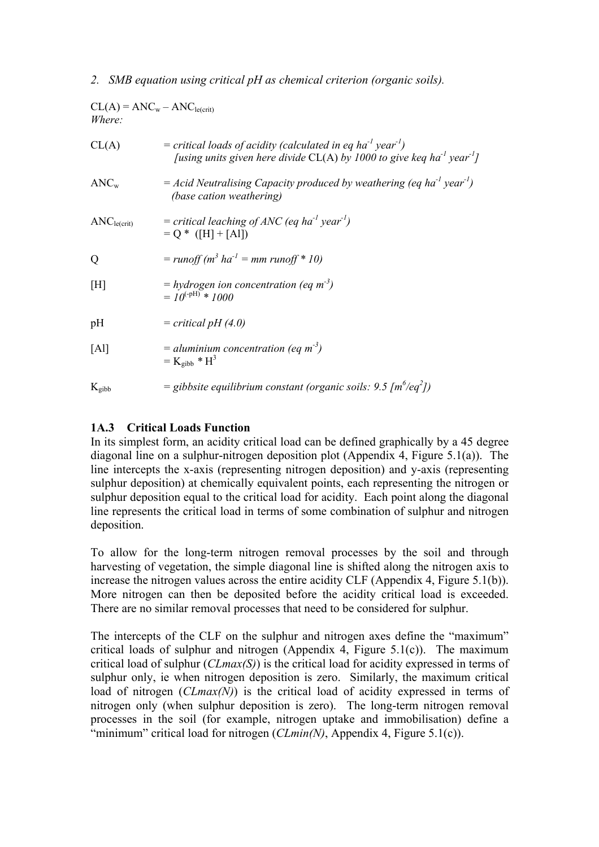### *2. SMB equation using critical pH as chemical criterion (organic soils).*

| $CL(A) = ANCw - ANCle(crit)$<br><i>Where:</i> |                                                                                                                                                                                         |  |  |
|-----------------------------------------------|-----------------------------------------------------------------------------------------------------------------------------------------------------------------------------------------|--|--|
| CL(A)                                         | = critical loads of acidity (calculated in eq ha <sup>-1</sup> year <sup>-1</sup> )<br>[using units given here divide $CL(A)$ by 1000 to give keq ha <sup>-1</sup> year <sup>-1</sup> ] |  |  |
| ANC <sub>w</sub>                              | $=$ Acid Neutralising Capacity produced by weathering (eq ha <sup>-1</sup> year <sup>-1</sup> )<br>(base cation weathering)                                                             |  |  |
| ANC <sub>le(crit)</sub>                       | = critical leaching of ANC (eq ha <sup>-1</sup> year <sup>-1</sup> )<br>$= Q * (H + [Al])$                                                                                              |  |  |
| Q                                             | $= runoff(m3 ha-1 = mm runoff * 10)$                                                                                                                                                    |  |  |
| [H]                                           | $=$ hydrogen ion concentration (eq m <sup>-3</sup> )<br>$=10^{(-pH)} * 1000$                                                                                                            |  |  |
| pH                                            | $= critical pH (4.0)$                                                                                                                                                                   |  |  |
| [Al]                                          | = aluminium concentration (eq m <sup>-3</sup> )<br>$= K_{eibb} * H^3$                                                                                                                   |  |  |
| $K_{\text{gibb}}$                             | = gibbsite equilibrium constant (organic soils: 9.5 $\lceil m^6 / \text{eq}^2 \rceil$ )                                                                                                 |  |  |

# **1A.3 Critical Loads Function**

In its simplest form, an acidity critical load can be defined graphically by a 45 degree diagonal line on a sulphur-nitrogen deposition plot (Appendix 4, Figure 5.1(a)). The line intercepts the x-axis (representing nitrogen deposition) and y-axis (representing sulphur deposition) at chemically equivalent points, each representing the nitrogen or sulphur deposition equal to the critical load for acidity. Each point along the diagonal line represents the critical load in terms of some combination of sulphur and nitrogen deposition.

To allow for the long-term nitrogen removal processes by the soil and through harvesting of vegetation, the simple diagonal line is shifted along the nitrogen axis to increase the nitrogen values across the entire acidity CLF (Appendix 4, Figure 5.1(b)). More nitrogen can then be deposited before the acidity critical load is exceeded. There are no similar removal processes that need to be considered for sulphur.

The intercepts of the CLF on the sulphur and nitrogen axes define the "maximum" critical loads of sulphur and nitrogen (Appendix 4, Figure 5.1(c)). The maximum critical load of sulphur (*CLmax(S)*) is the critical load for acidity expressed in terms of sulphur only, ie when nitrogen deposition is zero. Similarly, the maximum critical load of nitrogen (*CLmax(N)*) is the critical load of acidity expressed in terms of nitrogen only (when sulphur deposition is zero). The long-term nitrogen removal processes in the soil (for example, nitrogen uptake and immobilisation) define a "minimum" critical load for nitrogen  $(CLmin(N),$  Appendix 4, Figure 5.1(c)).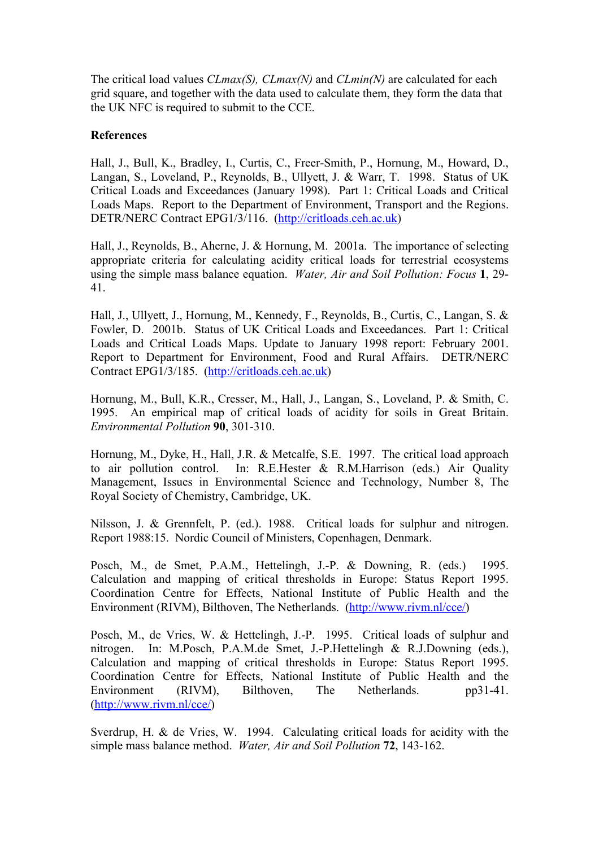The critical load values *CLmax(S), CLmax(N)* and *CLmin(N)* are calculated for each grid square, and together with the data used to calculate them, they form the data that the UK NFC is required to submit to the CCE.

### **References**

Hall, J., Bull, K., Bradley, I., Curtis, C., Freer-Smith, P., Hornung, M., Howard, D., Langan, S., Loveland, P., Reynolds, B., Ullyett, J. & Warr, T. 1998. Status of UK Critical Loads and Exceedances (January 1998). Part 1: Critical Loads and Critical Loads Maps. Report to the Department of Environment, Transport and the Regions. DETR/NERC Contract EPG1/3/116. (http://critloads.ceh.ac.uk)

Hall, J., Reynolds, B., Aherne, J. & Hornung, M. 2001a. The importance of selecting appropriate criteria for calculating acidity critical loads for terrestrial ecosystems using the simple mass balance equation. *Water, Air and Soil Pollution: Focus* **1**, 29- 41.

Hall, J., Ullyett, J., Hornung, M., Kennedy, F., Reynolds, B., Curtis, C., Langan, S. & Fowler, D. 2001b. Status of UK Critical Loads and Exceedances. Part 1: Critical Loads and Critical Loads Maps. Update to January 1998 report: February 2001. Report to Department for Environment, Food and Rural Affairs. DETR/NERC Contract EPG1/3/185. (http://critloads.ceh.ac.uk)

Hornung, M., Bull, K.R., Cresser, M., Hall, J., Langan, S., Loveland, P. & Smith, C. 1995. An empirical map of critical loads of acidity for soils in Great Britain. *Environmental Pollution* **90**, 301-310.

Hornung, M., Dyke, H., Hall, J.R. & Metcalfe, S.E. 1997. The critical load approach to air pollution control. In: R.E.Hester & R.M.Harrison (eds.) Air Quality Management, Issues in Environmental Science and Technology, Number 8, The Royal Society of Chemistry, Cambridge, UK.

Nilsson, J. & Grennfelt, P. (ed.). 1988. Critical loads for sulphur and nitrogen. Report 1988:15. Nordic Council of Ministers, Copenhagen, Denmark.

Posch, M., de Smet, P.A.M., Hettelingh, J.-P. & Downing, R. (eds.) 1995. Calculation and mapping of critical thresholds in Europe: Status Report 1995. Coordination Centre for Effects, National Institute of Public Health and the Environment (RIVM), Bilthoven, The Netherlands. (http://www.rivm.nl/cce/)

Posch, M., de Vries, W. & Hettelingh, J.-P. 1995. Critical loads of sulphur and nitrogen. In: M.Posch, P.A.M.de Smet, J.-P.Hettelingh & R.J.Downing (eds.), Calculation and mapping of critical thresholds in Europe: Status Report 1995. Coordination Centre for Effects, National Institute of Public Health and the Environment (RIVM), Bilthoven, The Netherlands. pp31-41. (http://www.rivm.nl/cce/)

Sverdrup, H. & de Vries, W. 1994. Calculating critical loads for acidity with the simple mass balance method. *Water, Air and Soil Pollution* **72**, 143-162.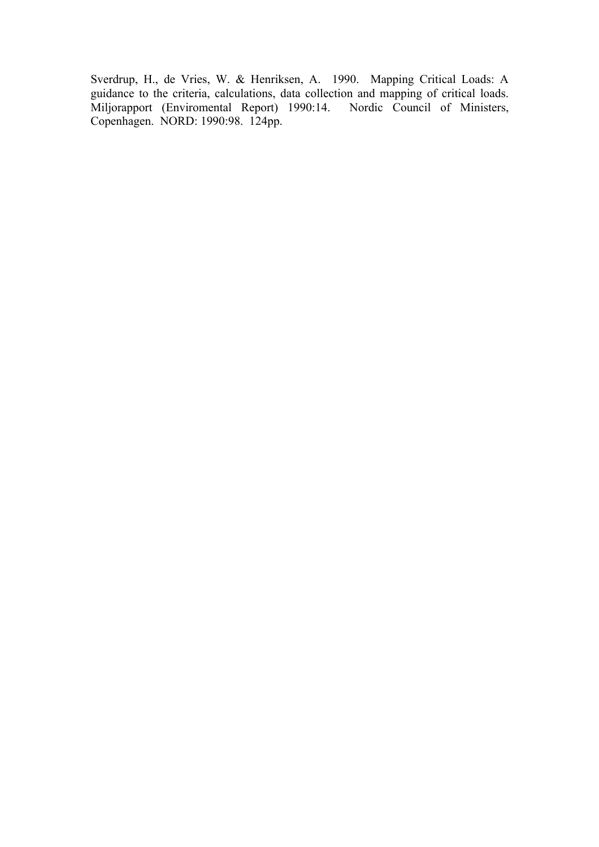Sverdrup, H., de Vries, W. & Henriksen, A. 1990. Mapping Critical Loads: A guidance to the criteria, calculations, data collection and mapping of critical loads. Miljorapport (Enviromental Report) 1990:14. Nordic Council of Ministers, Copenhagen. NORD: 1990:98. 124pp.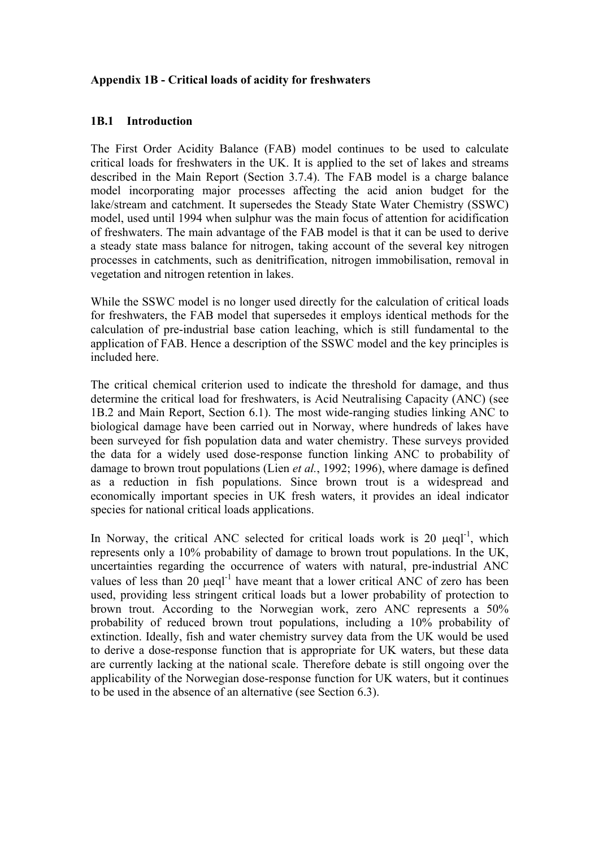# **Appendix 1B - Critical loads of acidity for freshwaters**

### **1B.1 Introduction**

The First Order Acidity Balance (FAB) model continues to be used to calculate critical loads for freshwaters in the UK. It is applied to the set of lakes and streams described in the Main Report (Section 3.7.4). The FAB model is a charge balance model incorporating major processes affecting the acid anion budget for the lake/stream and catchment. It supersedes the Steady State Water Chemistry (SSWC) model, used until 1994 when sulphur was the main focus of attention for acidification of freshwaters. The main advantage of the FAB model is that it can be used to derive a steady state mass balance for nitrogen, taking account of the several key nitrogen processes in catchments, such as denitrification, nitrogen immobilisation, removal in vegetation and nitrogen retention in lakes.

While the SSWC model is no longer used directly for the calculation of critical loads for freshwaters, the FAB model that supersedes it employs identical methods for the calculation of pre-industrial base cation leaching, which is still fundamental to the application of FAB. Hence a description of the SSWC model and the key principles is included here.

The critical chemical criterion used to indicate the threshold for damage, and thus determine the critical load for freshwaters, is Acid Neutralising Capacity (ANC) (see 1B.2 and Main Report, Section 6.1). The most wide-ranging studies linking ANC to biological damage have been carried out in Norway, where hundreds of lakes have been surveyed for fish population data and water chemistry. These surveys provided the data for a widely used dose-response function linking ANC to probability of damage to brown trout populations (Lien *et al.*, 1992; 1996), where damage is defined as a reduction in fish populations. Since brown trout is a widespread and economically important species in UK fresh waters, it provides an ideal indicator species for national critical loads applications.

In Norway, the critical ANC selected for critical loads work is  $20 \text{ } \mu\text{e}^{-1}$ , which represents only a 10% probability of damage to brown trout populations. In the UK, uncertainties regarding the occurrence of waters with natural, pre-industrial ANC values of less than 20  $\mu$ eql<sup>-1</sup> have meant that a lower critical ANC of zero has been used, providing less stringent critical loads but a lower probability of protection to brown trout. According to the Norwegian work, zero ANC represents a 50% probability of reduced brown trout populations, including a 10% probability of extinction. Ideally, fish and water chemistry survey data from the UK would be used to derive a dose-response function that is appropriate for UK waters, but these data are currently lacking at the national scale. Therefore debate is still ongoing over the applicability of the Norwegian dose-response function for UK waters, but it continues to be used in the absence of an alternative (see Section 6.3).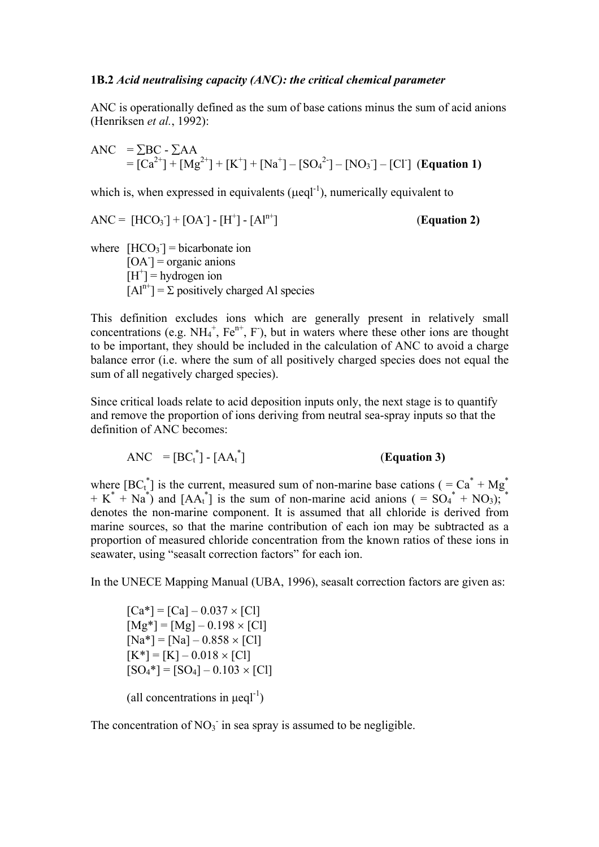#### **1B.2** *Acid neutralising capacity (ANC): the critical chemical parameter*

ANC is operationally defined as the sum of base cations minus the sum of acid anions (Henriksen *et al.*, 1992):

$$
ANC = \sum BC - \sum AA
$$
  
= [Ca<sup>2+</sup>] + [Mg<sup>2+</sup>] + [K<sup>+</sup>] + [Na<sup>+</sup>] - [SO<sub>4</sub><sup>2-</sup>] - [NO<sub>3</sub><sup>-</sup>] - [Cl<sup>-</sup>] (**Equation 1**)

which is, when expressed in equivalents ( $\mu$ eql<sup>-1</sup>), numerically equivalent to

$$
ANC = [HCO3] + [OA-] - [H+] - [Aln+] \qquad (Equation 2)
$$

where  $[HCO<sub>3</sub>$ <sup>-</sup> bicarbonate ion  $[OA]$  = organic anions  $[H^+]$  = hydrogen ion  $[A]^{n+}$  =  $\Sigma$  positively charged Al species

This definition excludes ions which are generally present in relatively small concentrations (e.g.  $NH_4^+$ ,  $Fe^{n+}$ , F), but in waters where these other ions are thought to be important, they should be included in the calculation of ANC to avoid a charge balance error (i.e. where the sum of all positively charged species does not equal the sum of all negatively charged species).

Since critical loads relate to acid deposition inputs only, the next stage is to quantify and remove the proportion of ions deriving from neutral sea-spray inputs so that the definition of ANC becomes:

 $\text{ANC} = [\text{BC}_{t}^{*}] - [\text{AA}_{t}^{*}]$ ] (**Equation 3)**

where  $[BC_t^*]$  is the current, measured sum of non-marine base cations ( $=Ca^* + Mg^*$ )  $+ K^* + Na^*$  and  $[AA_t^*]$  is the sum of non-marine acid anions ( =  $SO_4^* + NO_3$ ); denotes the non-marine component. It is assumed that all chloride is derived from marine sources, so that the marine contribution of each ion may be subtracted as a proportion of measured chloride concentration from the known ratios of these ions in seawater, using "seasalt correction factors" for each ion.

In the UNECE Mapping Manual (UBA, 1996), seasalt correction factors are given as:

 $[Ca*] = [Ca] - 0.037 \times [Cl]$  $[Mg^*] = [Mg] - 0.198 \times [Cl]$  $[Na^*] = [Na] - 0.858 \times [Cl]$  $[K^*] = [K] - 0.018 \times [Cl]$  $[SO_4^*] = [SO_4] - 0.103 \times [Cl]$ 

(all concentrations in  $\mu$ eql<sup>-1</sup>)

The concentration of  $NO<sub>3</sub>$  in sea spray is assumed to be negligible.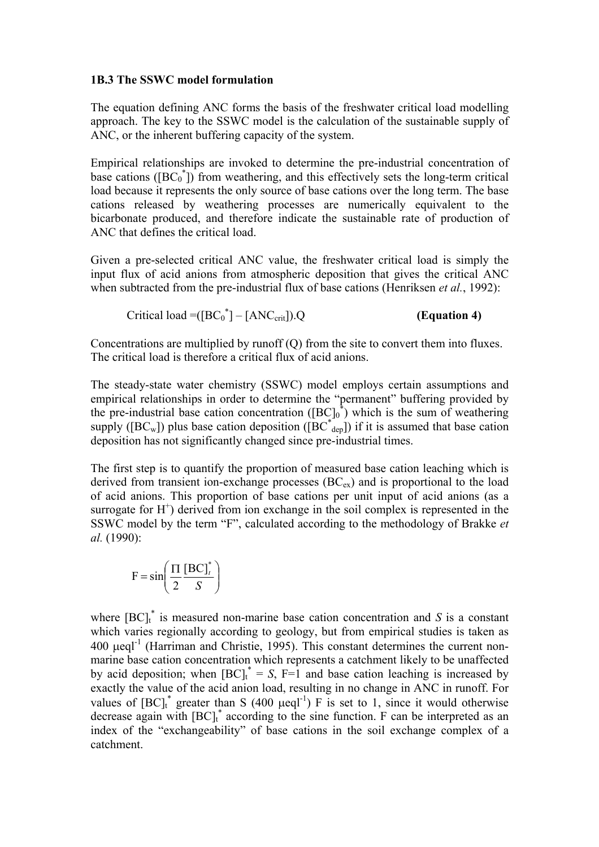#### **1B.3 The SSWC model formulation**

The equation defining ANC forms the basis of the freshwater critical load modelling approach. The key to the SSWC model is the calculation of the sustainable supply of ANC, or the inherent buffering capacity of the system.

Empirical relationships are invoked to determine the pre-industrial concentration of base cations ( $[BC_0^{\dagger}]$ ) from weathering, and this effectively sets the long-term critical load because it represents the only source of base cations over the long term. The base cations released by weathering processes are numerically equivalent to the bicarbonate produced, and therefore indicate the sustainable rate of production of ANC that defines the critical load.

Given a pre-selected critical ANC value, the freshwater critical load is simply the input flux of acid anions from atmospheric deposition that gives the critical ANC when subtracted from the pre-industrial flux of base cations (Henriksen *et al.*, 1992):

$$
Critical load = ([BC0*] - [ANCcrit]).Q
$$
 (Equation 4)

Concentrations are multiplied by runoff (Q) from the site to convert them into fluxes. The critical load is therefore a critical flux of acid anions.

The steady-state water chemistry (SSWC) model employs certain assumptions and empirical relationships in order to determine the "permanent" buffering provided by the pre-industrial base cation concentration  $({[BC]_0}^*$ ) which is the sum of weathering supply ([BC<sub>w</sub>]) plus base cation deposition ( $\overline{[BC}^*_{\text{dep}}]$ ) if it is assumed that base cation deposition has not significantly changed since pre-industrial times.

The first step is to quantify the proportion of measured base cation leaching which is derived from transient ion-exchange processes  $(BC_{ex})$  and is proportional to the load of acid anions. This proportion of base cations per unit input of acid anions (as a surrogate for  $H^+$ ) derived from ion exchange in the soil complex is represented in the SSWC model by the term "F", calculated according to the methodology of Brakke *et al.* (1990):

$$
F = \sin\left(\frac{\Pi}{2} \frac{\left[BC\right]_t^*}{S}\right)
$$

where  $[BC]_t^*$  is measured non-marine base cation concentration and *S* is a constant which varies regionally according to geology, but from empirical studies is taken as  $400 \text{ }\mu\text{e}$ d<sup>-1</sup> (Harriman and Christie, 1995). This constant determines the current nonmarine base cation concentration which represents a catchment likely to be unaffected by acid deposition; when  $[BC]_t^* = S$ ,  $F=1$  and base cation leaching is increased by exactly the value of the acid anion load, resulting in no change in ANC in runoff. For values of  $[BC]_t^*$  greater than S (400  $\mu$ eql<sup>-1</sup>) F is set to 1, since it would otherwise decrease again with  $[BC]_t^*$  according to the sine function. F can be interpreted as an index of the "exchangeability" of base cations in the soil exchange complex of a catchment.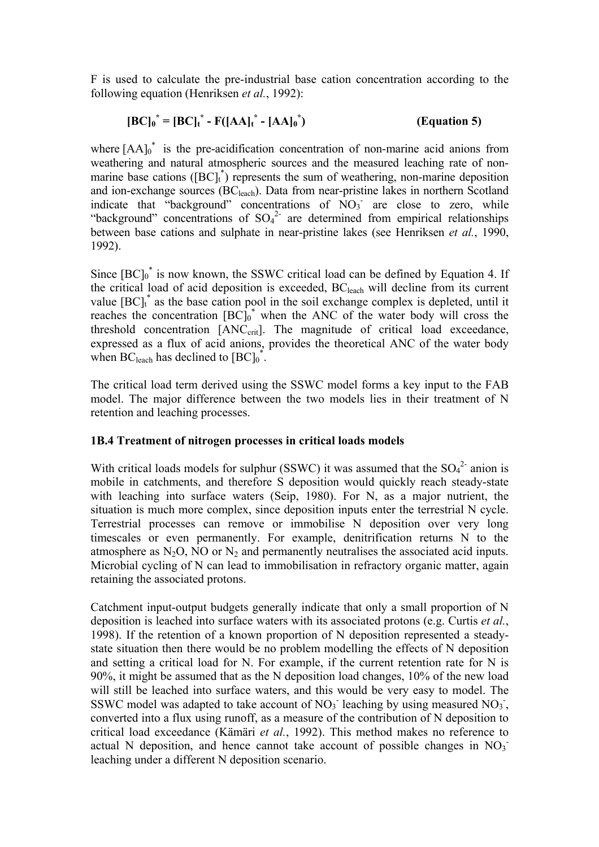F is used to calculate the pre-industrial base cation concentration according to the following equation (Henriksen *et al.*, 1992):

$$
[BC]_0^* = [BC]_t^* - F([AA]_t^* - [AA]_0^*)
$$
 (Equation 5)

where  $[AA]_0^*$  is the pre-acidification concentration of non-marine acid anions from weathering and natural atmospheric sources and the measured leaching rate of nonmarine base cations  $(\overline{BC}]_t^*$  represents the sum of weathering, non-marine deposition and ion-exchange sources (BC<sub>leach</sub>). Data from near-pristine lakes in northern Scotland indicate that "background" concentrations of  $\text{NO}_3$  are close to zero, while "background" concentrations of  $SO_4^2$  are determined from empirical relationships between base cations and sulphate in near-pristine lakes (see Henriksen *et al.*, 1990, 1992).

Since  $[BC]_0^*$  is now known, the SSWC critical load can be defined by Equation 4. If the critical load of acid deposition is exceeded, BCleach will decline from its current value  $[BC]_t^*$  as the base cation pool in the soil exchange complex is depleted, until it reaches the concentration  $[BC]_0^*$  when the ANC of the water body will cross the threshold concentration [ANC<sub>crit</sub>]. The magnitude of critical load exceedance, expressed as a flux of acid anions, provides the theoretical ANC of the water body when BC<sub>leach</sub> has declined to  $[BC]_0^*$ .

The critical load term derived using the SSWC model forms a key input to the FAB model. The major difference between the two models lies in their treatment of N retention and leaching processes.

# **1B.4 Treatment of nitrogen processes in critical loads models**

With critical loads models for sulphur (SSWC) it was assumed that the  $SO_4^2$  anion is mobile in catchments, and therefore S deposition would quickly reach steady-state with leaching into surface waters (Seip, 1980). For N, as a major nutrient, the situation is much more complex, since deposition inputs enter the terrestrial N cycle. Terrestrial processes can remove or immobilise N deposition over very long timescales or even permanently. For example, denitrification returns N to the atmosphere as  $N_2O$ , NO or  $N_2$  and permanently neutralises the associated acid inputs. Microbial cycling of N can lead to immobilisation in refractory organic matter, again retaining the associated protons.

Catchment input-output budgets generally indicate that only a small proportion of N deposition is leached into surface waters with its associated protons (e.g. Curtis *et al.*, 1998). If the retention of a known proportion of N deposition represented a steadystate situation then there would be no problem modelling the effects of N deposition and setting a critical load for N. For example, if the current retention rate for N is 90%, it might be assumed that as the N deposition load changes, 10% of the new load will still be leached into surface waters, and this would be very easy to model. The SSWC model was adapted to take account of NO<sub>3</sub> leaching by using measured NO<sub>3</sub>, converted into a flux using runoff, as a measure of the contribution of N deposition to critical load exceedance (Kämäri *et al.*, 1992). This method makes no reference to actual N deposition, and hence cannot take account of possible changes in  $NO<sub>3</sub>$ leaching under a different N deposition scenario.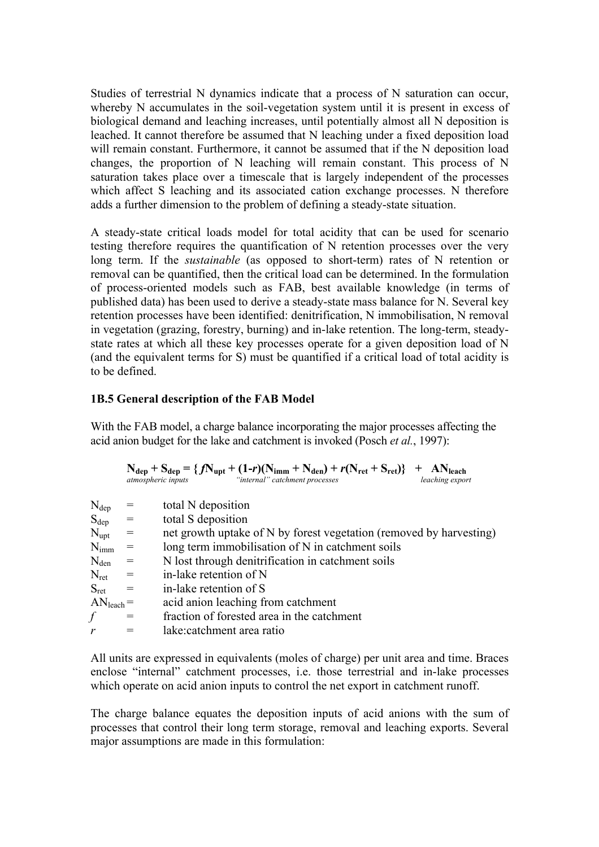Studies of terrestrial N dynamics indicate that a process of N saturation can occur, whereby N accumulates in the soil-vegetation system until it is present in excess of biological demand and leaching increases, until potentially almost all N deposition is leached. It cannot therefore be assumed that N leaching under a fixed deposition load will remain constant. Furthermore, it cannot be assumed that if the N deposition load changes, the proportion of N leaching will remain constant. This process of N saturation takes place over a timescale that is largely independent of the processes which affect S leaching and its associated cation exchange processes. N therefore adds a further dimension to the problem of defining a steady-state situation.

A steady-state critical loads model for total acidity that can be used for scenario testing therefore requires the quantification of N retention processes over the very long term. If the *sustainable* (as opposed to short-term) rates of N retention or removal can be quantified, then the critical load can be determined. In the formulation of process-oriented models such as FAB, best available knowledge (in terms of published data) has been used to derive a steady-state mass balance for N. Several key retention processes have been identified: denitrification, N immobilisation, N removal in vegetation (grazing, forestry, burning) and in-lake retention. The long-term, steadystate rates at which all these key processes operate for a given deposition load of N (and the equivalent terms for S) must be quantified if a critical load of total acidity is to be defined.

#### **1B.5 General description of the FAB Model**

With the FAB model, a charge balance incorporating the major processes affecting the acid anion budget for the lake and catchment is invoked (Posch *et al.*, 1997):

|                    |                                   | $N_{dep} + S_{dep} = \{fN_{upt} + (1-r)(N_{imm} + N_{den}) + r(N_{ret} + S_{ret})\}$ + AN <sub>leach</sub><br>"internal" catchment processes<br><i>atmospheric inputs</i><br>leaching export |
|--------------------|-----------------------------------|----------------------------------------------------------------------------------------------------------------------------------------------------------------------------------------------|
| $\rm N_{dep}$      |                                   | total N deposition                                                                                                                                                                           |
| $S_{dep}$ =        |                                   | total S deposition                                                                                                                                                                           |
| $N_{\rm{upt}}$     | $\hspace{1.6cm} = \hspace{1.6cm}$ | net growth uptake of N by forest vegetation (removed by harvesting)                                                                                                                          |
| $\rm N_{imm}$      |                                   | long term immobilisation of N in catchment soils                                                                                                                                             |
| $\rm N_{den}$      | $=$                               | N lost through denitrification in catchment soils                                                                                                                                            |
| $N_{\text{ret}}$ = |                                   | in-lake retention of N                                                                                                                                                                       |
| $S_{\rm ret}$      | $\alpha =$                        | in-lake retention of S                                                                                                                                                                       |
| $ANleach =$        |                                   | acid anion leaching from catchment                                                                                                                                                           |
| f                  |                                   | fraction of forested area in the catchment                                                                                                                                                   |
| r                  |                                   | lake:catchment area ratio                                                                                                                                                                    |
|                    |                                   |                                                                                                                                                                                              |

All units are expressed in equivalents (moles of charge) per unit area and time. Braces enclose "internal" catchment processes, i.e. those terrestrial and in-lake processes which operate on acid anion inputs to control the net export in catchment runoff.

The charge balance equates the deposition inputs of acid anions with the sum of processes that control their long term storage, removal and leaching exports. Several major assumptions are made in this formulation: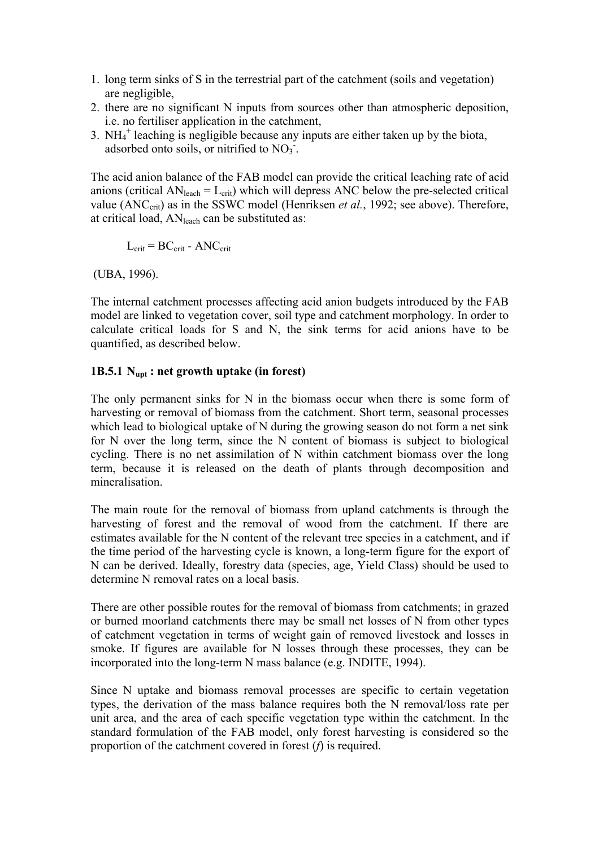- 1. long term sinks of S in the terrestrial part of the catchment (soils and vegetation) are negligible,
- 2. there are no significant N inputs from sources other than atmospheric deposition, i.e. no fertiliser application in the catchment,
- 3.  $NH_4^+$  leaching is negligible because any inputs are either taken up by the biota, adsorbed onto soils, or nitrified to  $NO<sub>3</sub>$ .

The acid anion balance of the FAB model can provide the critical leaching rate of acid anions (critical  $AN<sub>leach</sub> = L<sub>crit</sub>$ ) which will depress ANC below the pre-selected critical value (ANC<sub>crit</sub>) as in the SSWC model (Henriksen *et al.*, 1992; see above). Therefore, at critical load, ANleach can be substituted as:

$$
L_{\text{crit}} = BC_{\text{crit}} - ANC_{\text{crit}}
$$

(UBA, 1996).

The internal catchment processes affecting acid anion budgets introduced by the FAB model are linked to vegetation cover, soil type and catchment morphology. In order to calculate critical loads for S and N, the sink terms for acid anions have to be quantified, as described below.

### **1B.5.1 Nupt : net growth uptake (in forest)**

The only permanent sinks for N in the biomass occur when there is some form of harvesting or removal of biomass from the catchment. Short term, seasonal processes which lead to biological uptake of N during the growing season do not form a net sink for N over the long term, since the N content of biomass is subject to biological cycling. There is no net assimilation of N within catchment biomass over the long term, because it is released on the death of plants through decomposition and mineralisation.

The main route for the removal of biomass from upland catchments is through the harvesting of forest and the removal of wood from the catchment. If there are estimates available for the N content of the relevant tree species in a catchment, and if the time period of the harvesting cycle is known, a long-term figure for the export of N can be derived. Ideally, forestry data (species, age, Yield Class) should be used to determine N removal rates on a local basis.

There are other possible routes for the removal of biomass from catchments; in grazed or burned moorland catchments there may be small net losses of N from other types of catchment vegetation in terms of weight gain of removed livestock and losses in smoke. If figures are available for N losses through these processes, they can be incorporated into the long-term N mass balance (e.g. INDITE, 1994).

Since N uptake and biomass removal processes are specific to certain vegetation types, the derivation of the mass balance requires both the N removal/loss rate per unit area, and the area of each specific vegetation type within the catchment. In the standard formulation of the FAB model, only forest harvesting is considered so the proportion of the catchment covered in forest (*f*) is required.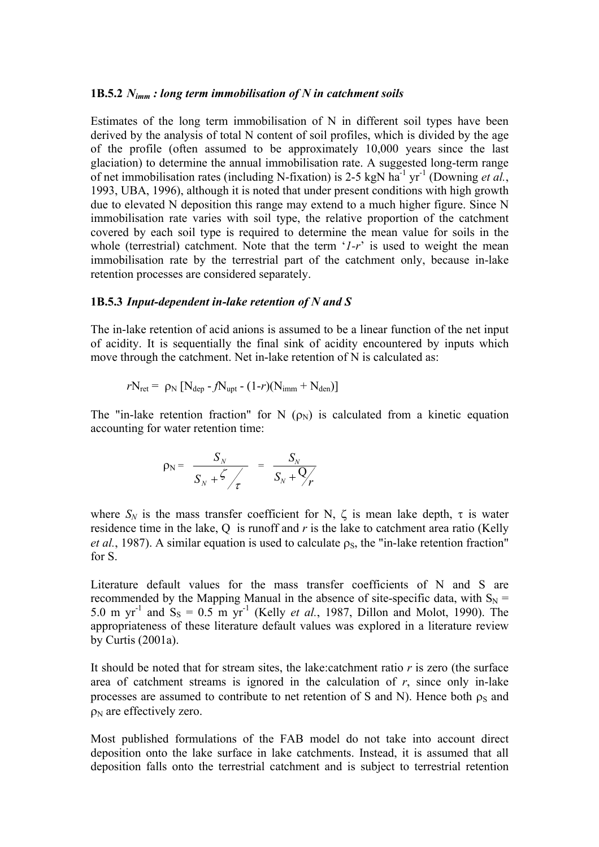#### **1B.5.2** *Nimm : long term immobilisation of N in catchment soils*

Estimates of the long term immobilisation of N in different soil types have been derived by the analysis of total N content of soil profiles, which is divided by the age of the profile (often assumed to be approximately 10,000 years since the last glaciation) to determine the annual immobilisation rate. A suggested long-term range of net immobilisation rates (including N-fixation) is 2-5 kgN ha<sup>-1</sup> yr<sup>-1</sup> (Downing *et al.*, 1993, UBA, 1996), although it is noted that under present conditions with high growth due to elevated N deposition this range may extend to a much higher figure. Since N immobilisation rate varies with soil type, the relative proportion of the catchment covered by each soil type is required to determine the mean value for soils in the whole (terrestrial) catchment. Note that the term '*1-r*' is used to weight the mean immobilisation rate by the terrestrial part of the catchment only, because in-lake retention processes are considered separately.

#### **1B.5.3** *Input-dependent in-lake retention of N and S*

The in-lake retention of acid anions is assumed to be a linear function of the net input of acidity. It is sequentially the final sink of acidity encountered by inputs which move through the catchment. Net in-lake retention of N is calculated as:

$$
rN_{\rm ret} = \rho_{\rm N} \left[ N_{\rm dep} - fN_{\rm upt} - (1-r)(N_{\rm imm} + N_{\rm den}) \right]
$$

The "in-lake retention fraction" for N  $(\rho_N)$  is calculated from a kinetic equation accounting for water retention time:

$$
\rho_{\rm N} = \frac{S_{N}}{S_{N} + \zeta / \tau} = \frac{S_{N}}{S_{N} + \zeta / \tau}
$$

where  $S_N$  is the mass transfer coefficient for N,  $\zeta$  is mean lake depth,  $\tau$  is water residence time in the lake, Q is runoff and *r* is the lake to catchment area ratio (Kelly *et al.*, 1987). A similar equation is used to calculate  $\rho_s$ , the "in-lake retention fraction" for S.

Literature default values for the mass transfer coefficients of N and S are recommended by the Mapping Manual in the absence of site-specific data, with  $S_N$  = 5.0 m yr<sup>-1</sup> and  $S_s = 0.5$  m yr<sup>-1</sup> (Kelly *et al.*, 1987, Dillon and Molot, 1990). The appropriateness of these literature default values was explored in a literature review by Curtis (2001a).

It should be noted that for stream sites, the lake:catchment ratio *r* is zero (the surface area of catchment streams is ignored in the calculation of  $r$ , since only in-lake processes are assumed to contribute to net retention of S and N). Hence both  $\rho_s$  and  $\rho_N$  are effectively zero.

Most published formulations of the FAB model do not take into account direct deposition onto the lake surface in lake catchments. Instead, it is assumed that all deposition falls onto the terrestrial catchment and is subject to terrestrial retention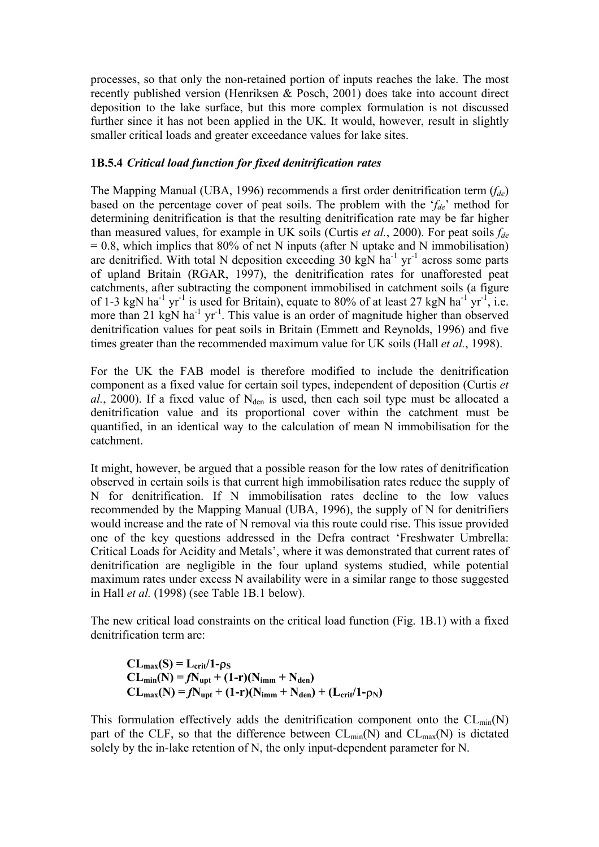processes, so that only the non-retained portion of inputs reaches the lake. The most recently published version (Henriksen & Posch, 2001) does take into account direct deposition to the lake surface, but this more complex formulation is not discussed further since it has not been applied in the UK. It would, however, result in slightly smaller critical loads and greater exceedance values for lake sites.

# **1B.5.4** *Critical load function for fixed denitrification rates*

The Mapping Manual (UBA, 1996) recommends a first order denitrification term (*fde*) based on the percentage cover of peat soils. The problem with the '*fde*' method for determining denitrification is that the resulting denitrification rate may be far higher than measured values, for example in UK soils (Curtis *et al.*, 2000). For peat soils *fde*  $= 0.8$ , which implies that 80% of net N inputs (after N uptake and N immobilisation) are denitrified. With total N deposition exceeding 30 kgN ha<sup>-1</sup> yr<sup>-1</sup> across some parts of upland Britain (RGAR, 1997), the denitrification rates for unafforested peat catchments, after subtracting the component immobilised in catchment soils (a figure of 1-3 kgN ha<sup>-1</sup> yr<sup>-1</sup> is used for Britain), equate to 80% of at least 27 kgN ha<sup>-1</sup> yr<sup>-1</sup>, i.e. more than 21 kgN ha<sup>-1</sup> yr<sup>-1</sup>. This value is an order of magnitude higher than observed denitrification values for peat soils in Britain (Emmett and Reynolds, 1996) and five times greater than the recommended maximum value for UK soils (Hall *et al.*, 1998).

For the UK the FAB model is therefore modified to include the denitrification component as a fixed value for certain soil types, independent of deposition (Curtis *et*   $al$ , 2000). If a fixed value of  $N_{den}$  is used, then each soil type must be allocated a denitrification value and its proportional cover within the catchment must be quantified, in an identical way to the calculation of mean N immobilisation for the catchment.

It might, however, be argued that a possible reason for the low rates of denitrification observed in certain soils is that current high immobilisation rates reduce the supply of N for denitrification. If N immobilisation rates decline to the low values recommended by the Mapping Manual (UBA, 1996), the supply of N for denitrifiers would increase and the rate of N removal via this route could rise. This issue provided one of the key questions addressed in the Defra contract 'Freshwater Umbrella: Critical Loads for Acidity and Metals', where it was demonstrated that current rates of denitrification are negligible in the four upland systems studied, while potential maximum rates under excess N availability were in a similar range to those suggested in Hall *et al.* (1998) (see Table 1B.1 below).

The new critical load constraints on the critical load function (Fig. 1B.1) with a fixed denitrification term are:

$$
CL_{max}(S) = L_{crit}/1-\rho_S
$$
  
\n
$$
CL_{min}(N) = fN_{upt} + (1-r)(N_{imm} + N_{den})
$$
  
\n
$$
CL_{max}(N) = fN_{upt} + (1-r)(N_{imm} + N_{den}) + (L_{crit}/1-\rho_N)
$$

This formulation effectively adds the denitrification component onto the  $CL_{min}(N)$ part of the CLF, so that the difference between  $CL_{min}(N)$  and  $CL_{max}(N)$  is dictated solely by the in-lake retention of N, the only input-dependent parameter for N.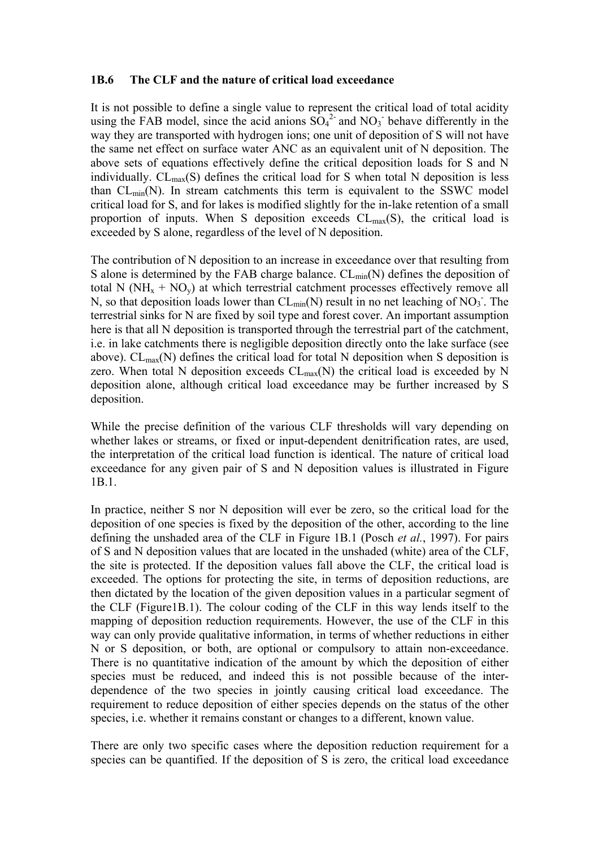#### **1B.6 The CLF and the nature of critical load exceedance**

It is not possible to define a single value to represent the critical load of total acidity using the FAB model, since the acid anions  $SO_4^2$  and  $NO_3$  behave differently in the way they are transported with hydrogen ions; one unit of deposition of S will not have the same net effect on surface water ANC as an equivalent unit of N deposition. The above sets of equations effectively define the critical deposition loads for S and N individually.  $CL_{max}(S)$  defines the critical load for S when total N deposition is less than  $CL_{min}(N)$ . In stream catchments this term is equivalent to the SSWC model critical load for S, and for lakes is modified slightly for the in-lake retention of a small proportion of inputs. When S deposition exceeds  $CL_{max}(S)$ , the critical load is exceeded by S alone, regardless of the level of N deposition.

The contribution of N deposition to an increase in exceedance over that resulting from S alone is determined by the FAB charge balance.  $CL_{min}(N)$  defines the deposition of total N ( $NH_x + NO_y$ ) at which terrestrial catchment processes effectively remove all N, so that deposition loads lower than  $CL_{min}(N)$  result in no net leaching of NO<sub>3</sub>. The terrestrial sinks for N are fixed by soil type and forest cover. An important assumption here is that all N deposition is transported through the terrestrial part of the catchment, i.e. in lake catchments there is negligible deposition directly onto the lake surface (see above).  $CL_{max}(N)$  defines the critical load for total N deposition when S deposition is zero. When total N deposition exceeds  $CL_{max}(N)$  the critical load is exceeded by N deposition alone, although critical load exceedance may be further increased by S deposition.

While the precise definition of the various CLF thresholds will vary depending on whether lakes or streams, or fixed or input-dependent denitrification rates, are used, the interpretation of the critical load function is identical. The nature of critical load exceedance for any given pair of S and N deposition values is illustrated in Figure 1B.1.

In practice, neither S nor N deposition will ever be zero, so the critical load for the deposition of one species is fixed by the deposition of the other, according to the line defining the unshaded area of the CLF in Figure 1B.1 (Posch *et al.*, 1997). For pairs of S and N deposition values that are located in the unshaded (white) area of the CLF, the site is protected. If the deposition values fall above the CLF, the critical load is exceeded. The options for protecting the site, in terms of deposition reductions, are then dictated by the location of the given deposition values in a particular segment of the CLF (Figure1B.1). The colour coding of the CLF in this way lends itself to the mapping of deposition reduction requirements. However, the use of the CLF in this way can only provide qualitative information, in terms of whether reductions in either N or S deposition, or both, are optional or compulsory to attain non-exceedance. There is no quantitative indication of the amount by which the deposition of either species must be reduced, and indeed this is not possible because of the interdependence of the two species in jointly causing critical load exceedance. The requirement to reduce deposition of either species depends on the status of the other species, i.e. whether it remains constant or changes to a different, known value.

There are only two specific cases where the deposition reduction requirement for a species can be quantified. If the deposition of S is zero, the critical load exceedance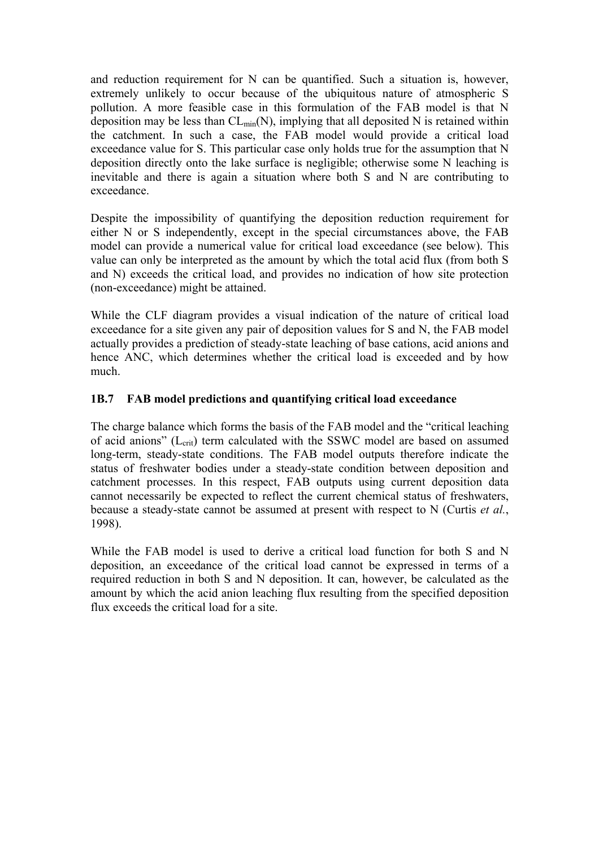and reduction requirement for N can be quantified. Such a situation is, however, extremely unlikely to occur because of the ubiquitous nature of atmospheric S pollution. A more feasible case in this formulation of the FAB model is that N deposition may be less than  $CL_{min}(N)$ , implying that all deposited N is retained within the catchment. In such a case, the FAB model would provide a critical load exceedance value for S. This particular case only holds true for the assumption that N deposition directly onto the lake surface is negligible; otherwise some N leaching is inevitable and there is again a situation where both S and N are contributing to exceedance.

Despite the impossibility of quantifying the deposition reduction requirement for either N or S independently, except in the special circumstances above, the FAB model can provide a numerical value for critical load exceedance (see below). This value can only be interpreted as the amount by which the total acid flux (from both S and N) exceeds the critical load, and provides no indication of how site protection (non-exceedance) might be attained.

While the CLF diagram provides a visual indication of the nature of critical load exceedance for a site given any pair of deposition values for S and N, the FAB model actually provides a prediction of steady-state leaching of base cations, acid anions and hence ANC, which determines whether the critical load is exceeded and by how much.

# **1B.7 FAB model predictions and quantifying critical load exceedance**

The charge balance which forms the basis of the FAB model and the "critical leaching of acid anions"  $(L_{\text{crit}})$  term calculated with the SSWC model are based on assumed long-term, steady-state conditions. The FAB model outputs therefore indicate the status of freshwater bodies under a steady-state condition between deposition and catchment processes. In this respect, FAB outputs using current deposition data cannot necessarily be expected to reflect the current chemical status of freshwaters, because a steady-state cannot be assumed at present with respect to N (Curtis *et al.*, 1998).

While the FAB model is used to derive a critical load function for both S and N deposition, an exceedance of the critical load cannot be expressed in terms of a required reduction in both S and N deposition. It can, however, be calculated as the amount by which the acid anion leaching flux resulting from the specified deposition flux exceeds the critical load for a site.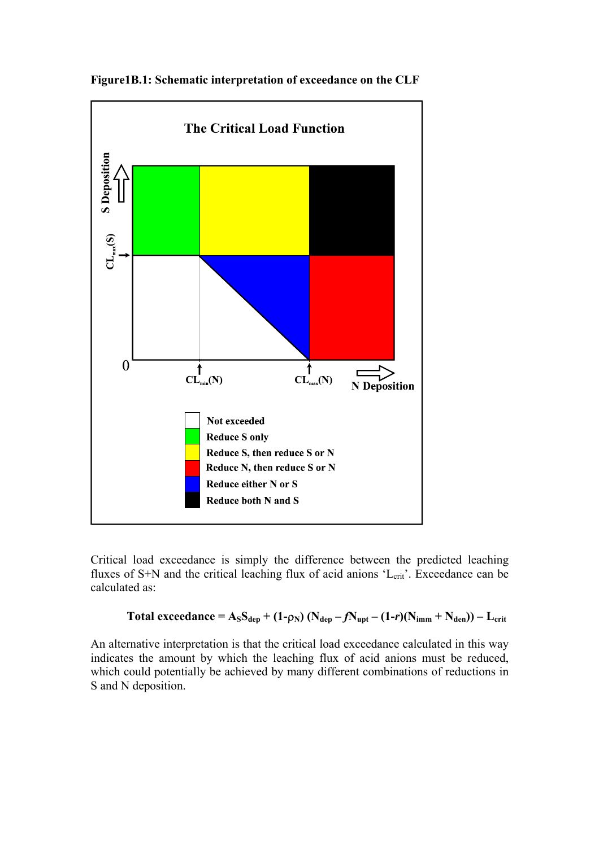

**Figure1B.1: Schematic interpretation of exceedance on the CLF** 

Critical load exceedance is simply the difference between the predicted leaching fluxes of  $S+N$  and the critical leaching flux of acid anions ' $L_{crit}$ '. Exceedance can be calculated as:

Total exceededance = 
$$
A_S S_{dep} + (1-\rho_N) (N_{dep} - fN_{upt} - (1-r)(N_{imm} + N_{den})) - L_{crit}
$$

An alternative interpretation is that the critical load exceedance calculated in this way indicates the amount by which the leaching flux of acid anions must be reduced, which could potentially be achieved by many different combinations of reductions in S and N deposition.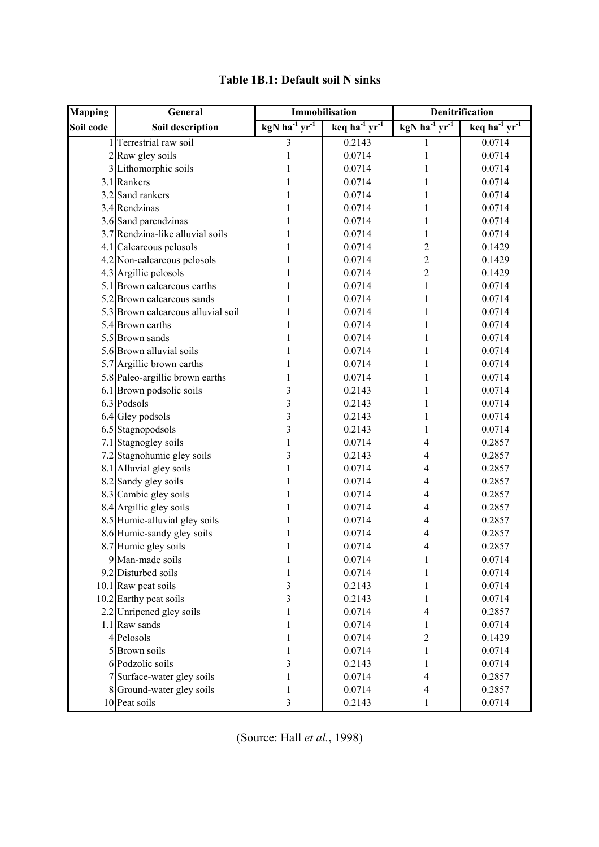| <b>Mapping</b> | General                            | Immobilisation            |                           | Denitrification           |                                         |
|----------------|------------------------------------|---------------------------|---------------------------|---------------------------|-----------------------------------------|
| Soil code      | Soil description                   | kgN ha $^{-1}$ yr $^{-1}$ | keq ha $^{-1}$ yr $^{-1}$ | kgN ha $^{-1}$ yr $^{-1}$ | $keq$ ha <sup>-1</sup> yr <sup>-1</sup> |
|                | Terrestrial raw soil               | 3                         | 0.2143                    | 1                         | 0.0714                                  |
|                | 2 Raw gley soils                   | 1                         | 0.0714                    | 1                         | 0.0714                                  |
|                | 3 Lithomorphic soils               | 1                         | 0.0714                    | 1                         | 0.0714                                  |
|                | 3.1 Rankers                        | 1                         | 0.0714                    | 1                         | 0.0714                                  |
|                | 3.2 Sand rankers                   | 1                         | 0.0714                    | 1                         | 0.0714                                  |
|                | 3.4 Rendzinas                      | 1                         | 0.0714                    | 1                         | 0.0714                                  |
|                | 3.6 Sand parendzinas               | 1                         | 0.0714                    | 1                         | 0.0714                                  |
|                | 3.7 Rendzina-like alluvial soils   | 1                         | 0.0714                    | 1                         | 0.0714                                  |
|                | 4.1 Calcareous pelosols            | 1                         | 0.0714                    | $\overline{c}$            | 0.1429                                  |
|                | 4.2 Non-calcareous pelosols        | 1                         | 0.0714                    | $\overline{c}$            | 0.1429                                  |
|                | 4.3 Argillic pelosols              | 1                         | 0.0714                    | $\overline{c}$            | 0.1429                                  |
|                | 5.1 Brown calcareous earths        | 1                         | 0.0714                    | $\mathbf{1}$              | 0.0714                                  |
|                | 5.2 Brown calcareous sands         | 1                         | 0.0714                    | 1                         | 0.0714                                  |
|                | 5.3 Brown calcareous alluvial soil | 1                         | 0.0714                    | 1                         | 0.0714                                  |
|                | 5.4 Brown earths                   | 1                         | 0.0714                    | 1                         | 0.0714                                  |
|                | 5.5 Brown sands                    | 1                         | 0.0714                    | 1                         | 0.0714                                  |
|                | 5.6 Brown alluvial soils           | 1                         | 0.0714                    | 1                         | 0.0714                                  |
|                | 5.7 Argillic brown earths          | 1                         | 0.0714                    | 1                         | 0.0714                                  |
|                | 5.8 Paleo-argillic brown earths    | 1                         | 0.0714                    | 1                         | 0.0714                                  |
|                | 6.1 Brown podsolic soils           | 3                         | 0.2143                    | 1                         | 0.0714                                  |
|                | 6.3 Podsols                        | 3                         | 0.2143                    | 1                         | 0.0714                                  |
|                | $6.4$ Gley podsols                 | 3                         | 0.2143                    | 1                         | 0.0714                                  |
|                | 6.5 Stagnopodsols                  | 3                         | 0.2143                    | 1                         | 0.0714                                  |
|                | 7.1 Stagnogley soils               | 1                         | 0.0714                    | 4                         | 0.2857                                  |
|                | 7.2 Stagnohumic gley soils         | 3                         | 0.2143                    | 4                         | 0.2857                                  |
|                | 8.1 Alluvial gley soils            | $\mathbf{1}$              | 0.0714                    | 4                         | 0.2857                                  |
|                | 8.2 Sandy gley soils               | 1                         | 0.0714                    | 4                         | 0.2857                                  |
|                | 8.3 Cambic gley soils              | 1                         | 0.0714                    | 4                         | 0.2857                                  |
|                | 8.4 Argillic gley soils            | 1                         | 0.0714                    | 4                         | 0.2857                                  |
|                | 8.5 Humic-alluvial gley soils      | 1                         | 0.0714                    | 4                         | 0.2857                                  |
|                | 8.6 Humic-sandy gley soils         | 1                         | 0.0714                    | 4                         | 0.2857                                  |
|                | 8.7 Humic gley soils               | 1                         | 0.0714                    | 4                         | 0.2857                                  |
|                | 9 Man-made soils                   | 1                         | 0.0714                    | 1                         | 0.0714                                  |
|                | 9.2 Disturbed soils                | 1                         | 0.0714                    | 1                         | 0.0714                                  |
|                | $10.1$ Raw peat soils              | 3                         | 0.2143                    | 1                         | 0.0714                                  |
|                | 10.2 Earthy peat soils             | 3                         | 0.2143                    | 1                         | 0.0714                                  |
|                | 2.2 Unripened gley soils           | 1                         | 0.0714                    | $\overline{4}$            | 0.2857                                  |
|                | 1.1 Raw sands                      | 1                         | 0.0714                    | 1                         | 0.0714                                  |
|                | 4 Pelosols                         | 1                         | 0.0714                    | $\overline{c}$            | 0.1429                                  |
|                | 5 Brown soils                      | 1                         | 0.0714                    | 1                         | 0.0714                                  |
|                | 6 Podzolic soils                   | 3                         | 0.2143                    | 1                         | 0.0714                                  |
|                | 7 Surface-water gley soils         | 1                         | 0.0714                    | $\overline{\mathbf{4}}$   | 0.2857                                  |
| 8              | Ground-water gley soils            | 1                         | 0.0714                    | $\overline{4}$            | 0.2857                                  |
|                | 10 Peat soils                      | 3                         | 0.2143                    | 1                         | 0.0714                                  |

# **Table 1B.1: Default soil N sinks**

(Source: Hall *et al.*, 1998)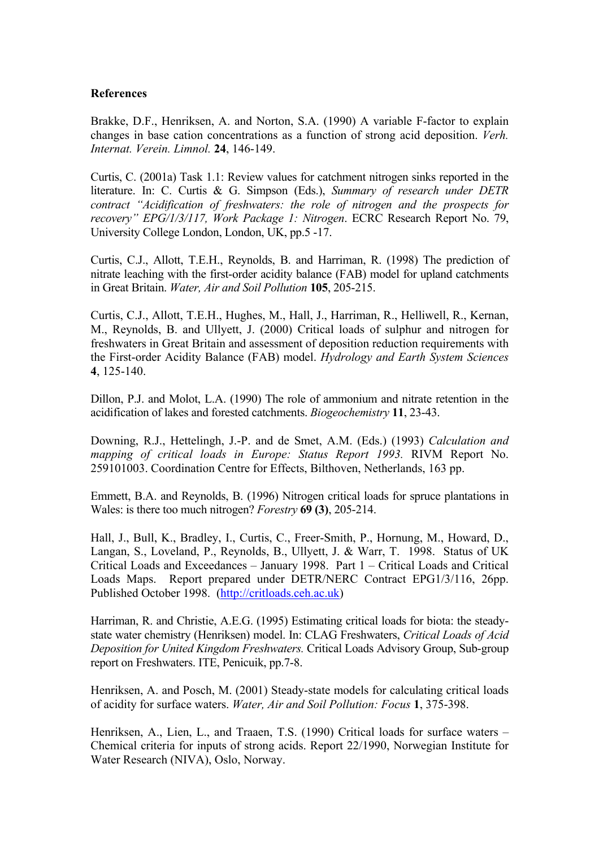#### **References**

Brakke, D.F., Henriksen, A. and Norton, S.A. (1990) A variable F-factor to explain changes in base cation concentrations as a function of strong acid deposition. *Verh. Internat. Verein. Limnol.* **24**, 146-149.

Curtis, C. (2001a) Task 1.1: Review values for catchment nitrogen sinks reported in the literature. In: C. Curtis & G. Simpson (Eds.), *Summary of research under DETR contract "Acidification of freshwaters: the role of nitrogen and the prospects for recovery" EPG/1/3/117, Work Package 1: Nitrogen*. ECRC Research Report No. 79, University College London, London, UK, pp.5 -17.

Curtis, C.J., Allott, T.E.H., Reynolds, B. and Harriman, R. (1998) The prediction of nitrate leaching with the first-order acidity balance (FAB) model for upland catchments in Great Britain. *Water, Air and Soil Pollution* **105**, 205-215.

Curtis, C.J., Allott, T.E.H., Hughes, M., Hall, J., Harriman, R., Helliwell, R., Kernan, M., Reynolds, B. and Ullyett, J. (2000) Critical loads of sulphur and nitrogen for freshwaters in Great Britain and assessment of deposition reduction requirements with the First-order Acidity Balance (FAB) model. *Hydrology and Earth System Sciences* **4**, 125-140.

Dillon, P.J. and Molot, L.A. (1990) The role of ammonium and nitrate retention in the acidification of lakes and forested catchments. *Biogeochemistry* **11**, 23-43.

Downing, R.J., Hettelingh, J.-P. and de Smet, A.M. (Eds.) (1993) *Calculation and mapping of critical loads in Europe: Status Report 1993.* RIVM Report No. 259101003. Coordination Centre for Effects, Bilthoven, Netherlands, 163 pp.

Emmett, B.A. and Reynolds, B. (1996) Nitrogen critical loads for spruce plantations in Wales: is there too much nitrogen? *Forestry* **69 (3)**, 205-214.

Hall, J., Bull, K., Bradley, I., Curtis, C., Freer-Smith, P., Hornung, M., Howard, D., Langan, S., Loveland, P., Reynolds, B., Ullyett, J. & Warr, T. 1998. Status of UK Critical Loads and Exceedances – January 1998. Part 1 – Critical Loads and Critical Loads Maps. Report prepared under DETR/NERC Contract EPG1/3/116, 26pp. Published October 1998. (http://critloads.ceh.ac.uk)

Harriman, R. and Christie, A.E.G. (1995) Estimating critical loads for biota: the steadystate water chemistry (Henriksen) model. In: CLAG Freshwaters, *Critical Loads of Acid Deposition for United Kingdom Freshwaters.* Critical Loads Advisory Group, Sub-group report on Freshwaters. ITE, Penicuik, pp.7-8.

Henriksen, A. and Posch, M. (2001) Steady-state models for calculating critical loads of acidity for surface waters. *Water, Air and Soil Pollution: Focus* **1**, 375-398.

Henriksen, A., Lien, L., and Traaen, T.S. (1990) Critical loads for surface waters – Chemical criteria for inputs of strong acids. Report 22/1990, Norwegian Institute for Water Research (NIVA), Oslo, Norway.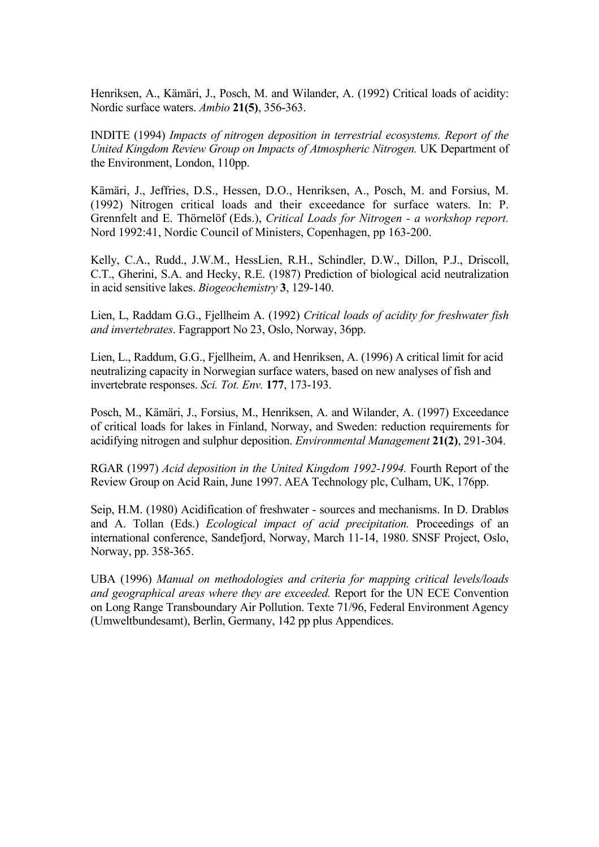Henriksen, A., Kämäri, J., Posch, M. and Wilander, A. (1992) Critical loads of acidity: Nordic surface waters. *Ambio* **21(5)**, 356-363.

INDITE (1994) *Impacts of nitrogen deposition in terrestrial ecosystems. Report of the United Kingdom Review Group on Impacts of Atmospheric Nitrogen.* UK Department of the Environment, London, 110pp.

Kämäri, J., Jeffries, D.S., Hessen, D.O., Henriksen, A., Posch, M. and Forsius, M. (1992) Nitrogen critical loads and their exceedance for surface waters. In: P. Grennfelt and E. Thörnelöf (Eds.), *Critical Loads for Nitrogen - a workshop report.* Nord 1992:41, Nordic Council of Ministers, Copenhagen, pp 163-200.

Kelly, C.A., Rudd., J.W.M., HessLien, R.H., Schindler, D.W., Dillon, P.J., Driscoll, C.T., Gherini, S.A. and Hecky, R.E. (1987) Prediction of biological acid neutralization in acid sensitive lakes. *Biogeochemistry* **3**, 129-140.

Lien, L, Raddam G.G., Fjellheim A. (1992) *Critical loads of acidity for freshwater fish and invertebrates*. Fagrapport No 23, Oslo, Norway, 36pp.

Lien, L., Raddum, G.G., Fjellheim, A. and Henriksen, A. (1996) A critical limit for acid neutralizing capacity in Norwegian surface waters, based on new analyses of fish and invertebrate responses. *Sci. Tot. Env.* **177**, 173-193.

Posch, M., Kämäri, J., Forsius, M., Henriksen, A. and Wilander, A. (1997) Exceedance of critical loads for lakes in Finland, Norway, and Sweden: reduction requirements for acidifying nitrogen and sulphur deposition. *Environmental Management* **21(2)**, 291-304.

RGAR (1997) *Acid deposition in the United Kingdom 1992-1994.* Fourth Report of the Review Group on Acid Rain, June 1997. AEA Technology plc, Culham, UK, 176pp.

Seip, H.M. (1980) Acidification of freshwater - sources and mechanisms. In D. Drabløs and A. Tollan (Eds.) *Ecological impact of acid precipitation.* Proceedings of an international conference, Sandefjord, Norway, March 11-14, 1980. SNSF Project, Oslo, Norway, pp. 358-365.

UBA (1996) *Manual on methodologies and criteria for mapping critical levels/loads and geographical areas where they are exceeded.* Report for the UN ECE Convention on Long Range Transboundary Air Pollution. Texte 71/96, Federal Environment Agency (Umweltbundesamt), Berlin, Germany, 142 pp plus Appendices.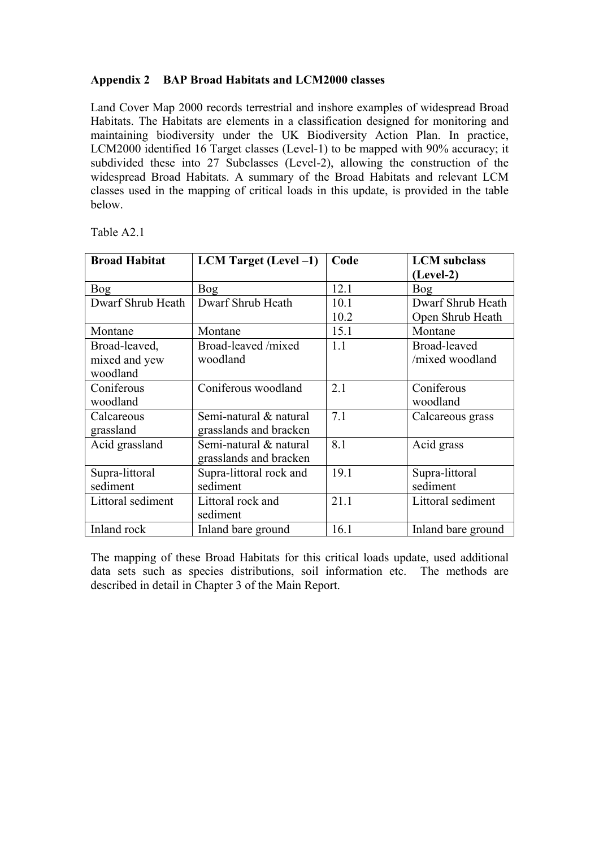# **Appendix 2 BAP Broad Habitats and LCM2000 classes**

Land Cover Map 2000 records terrestrial and inshore examples of widespread Broad Habitats. The Habitats are elements in a classification designed for monitoring and maintaining biodiversity under the UK Biodiversity Action Plan. In practice, LCM2000 identified 16 Target classes (Level-1) to be mapped with 90% accuracy; it subdivided these into 27 Subclasses (Level-2), allowing the construction of the widespread Broad Habitats. A summary of the Broad Habitats and relevant LCM classes used in the mapping of critical loads in this update, is provided in the table below.

| <b>Broad Habitat</b> | <b>LCM</b> Target (Level -1) | Code | <b>LCM</b> subclass |  |
|----------------------|------------------------------|------|---------------------|--|
|                      |                              |      | $(Level-2)$         |  |
| <b>Bog</b>           | <b>Bog</b>                   | 12.1 | <b>Bog</b>          |  |
| Dwarf Shrub Heath    | Dwarf Shrub Heath            | 10.1 | Dwarf Shrub Heath   |  |
|                      |                              | 10.2 | Open Shrub Heath    |  |
| Montane              | Montane                      | 15.1 | Montane             |  |
| Broad-leaved,        | Broad-leaved /mixed          | 1.1  | Broad-leaved        |  |
| mixed and yew        | woodland                     |      | /mixed woodland     |  |
| woodland             |                              |      |                     |  |
| Coniferous           | Coniferous woodland          | 2.1  | Coniferous          |  |
| woodland             |                              |      | woodland            |  |
| Calcareous           | Semi-natural & natural       | 7.1  | Calcareous grass    |  |
| grassland            | grasslands and bracken       |      |                     |  |
| Acid grassland       | Semi-natural & natural       | 8.1  | Acid grass          |  |
|                      | grasslands and bracken       |      |                     |  |
| Supra-littoral       | Supra-littoral rock and      | 19.1 | Supra-littoral      |  |
| sediment             | sediment                     |      | sediment            |  |
| Littoral sediment    | Littoral rock and            | 21.1 | Littoral sediment   |  |
|                      | sediment                     |      |                     |  |
| Inland rock          | Inland bare ground           | 16.1 | Inland bare ground  |  |

Table A2.1

The mapping of these Broad Habitats for this critical loads update, used additional data sets such as species distributions, soil information etc. The methods are described in detail in Chapter 3 of the Main Report.